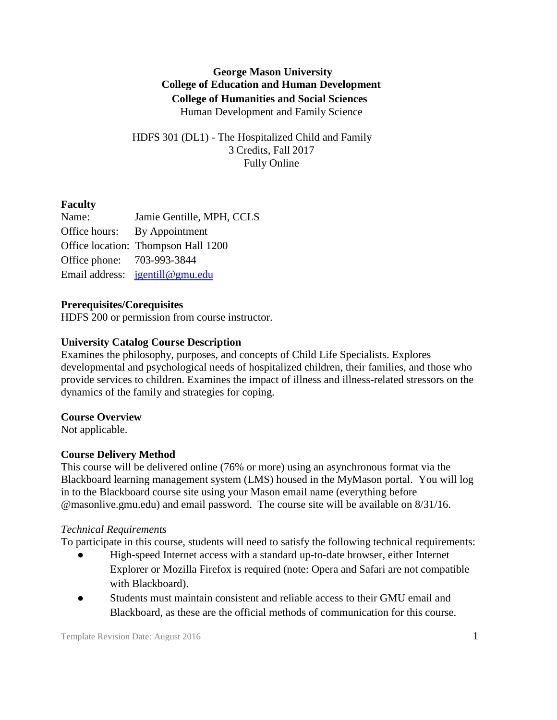# **George Mason University College of Education and Human Development College of Humanities and Social Sciences** Human Development and Family Science

HDFS 301 (DL1) - The Hospitalized Child and Family 3 Credits, Fall 2017 Fully Online

## **Faculty**

Name: Jamie Gentille, MPH, CCLS Office hours: By Appointment Office location: Thompson Hall 1200 Office phone: 703-993-3844 Email address: [jgentill@gmu.edu](mailto:jgentill@gmu.edu) 

## **Prerequisites/Corequisites**

HDFS 200 or permission from course instructor.

## **University Catalog Course Description**

Examines the philosophy, purposes, and concepts of Child Life Specialists. Explores developmental and psychological needs of hospitalized children, their families, and those who provide services to children. Examines the impact of illness and illness-related stressors on the dynamics of the family and strategies for coping.

## **Course Overview**

Not applicable.

## **Course Delivery Method**

This course will be delivered online (76% or more) using an asynchronous format via the Blackboard learning management system (LMS) housed in the MyMason portal. You will log in to the Blackboard course site using your Mason email name (everything before @masonlive.gmu.edu) and email password. The course site will be available on 8/31/16.

## *Technical Requirements*

To participate in this course, students will need to satisfy the following technical requirements:

- High-speed Internet access with a standard up-to-date browser, either Internet Explorer or Mozilla Firefox is required (note: Opera and Safari are not compatible with Blackboard).
- Students must maintain consistent and reliable access to their GMU email and Blackboard, as these are the official methods of communication for this course.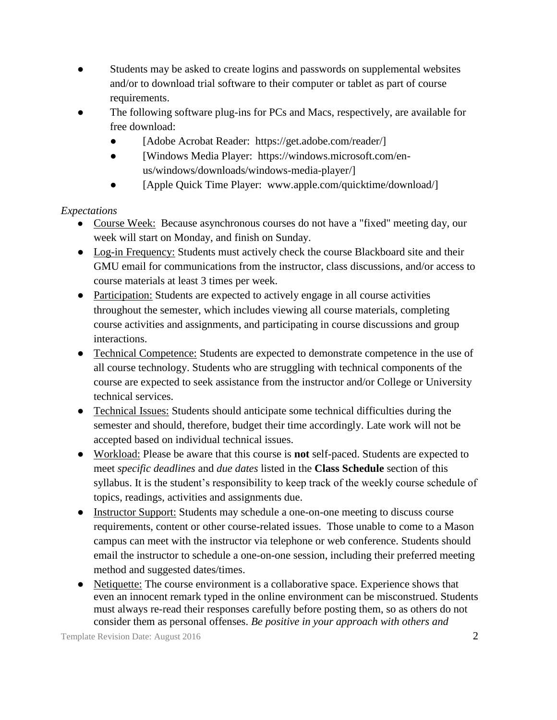- Students may be asked to create logins and passwords on supplemental websites and/or to download trial software to their computer or tablet as part of course requirements.
- The following software plug-ins for PCs and Macs, respectively, are available for free download:
	- [Adobe Acrobat Reader: https://get.adobe.com/reader/]
	- [Windows Media Player: https://windows.microsoft.com/enus/windows/downloads/windows-media-player/]
	- [Apple Quick Time Player: www.apple.com/quicktime/download/]

## *Expectations*

- Course Week: Because asynchronous courses do not have a "fixed" meeting day, our week will start on Monday, and finish on Sunday.
- Log-in Frequency: Students must actively check the course Blackboard site and their GMU email for communications from the instructor, class discussions, and/or access to course materials at least 3 times per week.
- Participation: Students are expected to actively engage in all course activities throughout the semester, which includes viewing all course materials, completing course activities and assignments, and participating in course discussions and group interactions.
- Technical Competence: Students are expected to demonstrate competence in the use of all course technology. Students who are struggling with technical components of the course are expected to seek assistance from the instructor and/or College or University technical services.
- Technical Issues: Students should anticipate some technical difficulties during the semester and should, therefore, budget their time accordingly. Late work will not be accepted based on individual technical issues.
- Workload: Please be aware that this course is **not** self-paced. Students are expected to meet *specific deadlines* and *due dates* listed in the **Class Schedule** section of this syllabus. It is the student's responsibility to keep track of the weekly course schedule of topics, readings, activities and assignments due.
- Instructor Support: Students may schedule a one-on-one meeting to discuss course requirements, content or other course-related issues. Those unable to come to a Mason campus can meet with the instructor via telephone or web conference. Students should email the instructor to schedule a one-on-one session, including their preferred meeting method and suggested dates/times.
- Netiquette: The course environment is a collaborative space. Experience shows that even an innocent remark typed in the online environment can be misconstrued. Students must always re-read their responses carefully before posting them, so as others do not consider them as personal offenses. *Be positive in your approach with others and*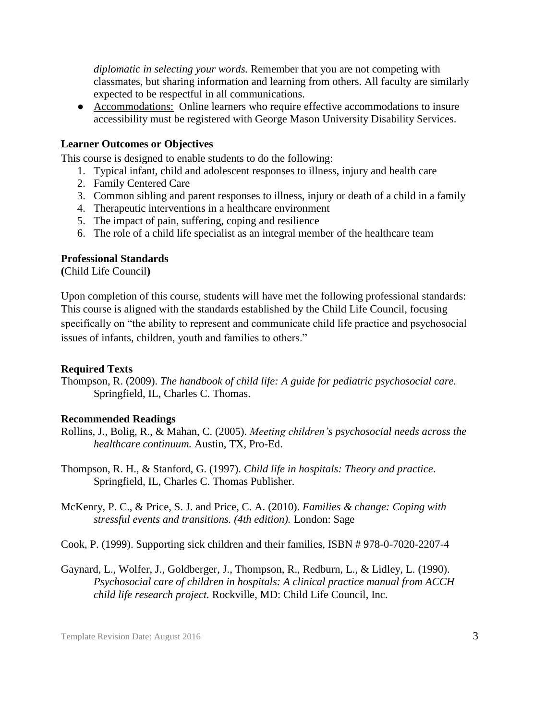*diplomatic in selecting your words.* Remember that you are not competing with classmates, but sharing information and learning from others. All faculty are similarly expected to be respectful in all communications.

● Accommodations: Online learners who require effective accommodations to insure accessibility must be registered with George Mason University Disability Services.

#### **Learner Outcomes or Objectives**

This course is designed to enable students to do the following:

- 1. Typical infant, child and adolescent responses to illness, injury and health care
- 2. Family Centered Care
- 3. Common sibling and parent responses to illness, injury or death of a child in a family
- 4. Therapeutic interventions in a healthcare environment
- 5. The impact of pain, suffering, coping and resilience
- 6. The role of a child life specialist as an integral member of the healthcare team

#### **Professional Standards**

**(**Child Life Council**)**

Upon completion of this course, students will have met the following professional standards: This course is aligned with the standards established by the Child Life Council, focusing specifically on "the ability to represent and communicate child life practice and psychosocial issues of infants, children, youth and families to others."

#### **Required Texts**

Thompson, R. (2009). *The handbook of child life: A guide for pediatric psychosocial care.* Springfield, IL, Charles C. Thomas.

#### **Recommended Readings**

- Rollins, J., Bolig, R., & Mahan, C. (2005). *Meeting children's psychosocial needs across the healthcare continuum.* Austin, TX, Pro-Ed.
- Thompson, R. H., & Stanford, G. (1997). *Child life in hospitals: Theory and practice*. Springfield, IL, Charles C. Thomas Publisher.
- McKenry, P. C., & Price, S. J. and Price, C. A. (2010). *Families & change: Coping with stressful events and transitions. (4th edition).* London: Sage
- Cook, P. (1999). Supporting sick children and their families, ISBN # 978-0-7020-2207-4
- Gaynard, L., Wolfer, J., Goldberger, J., Thompson, R., Redburn, L., & Lidley, L. (1990). *Psychosocial care of children in hospitals: A clinical practice manual from ACCH child life research project.* Rockville, MD: Child Life Council, Inc.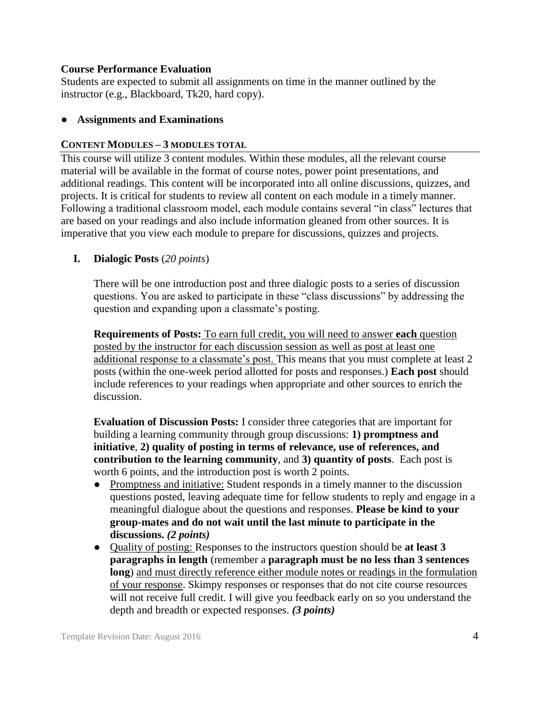#### **Course Performance Evaluation**

Students are expected to submit all assignments on time in the manner outlined by the instructor (e.g., Blackboard, Tk20, hard copy).

### ● **Assignments and Examinations**

#### **CONTENT MODULES – 3 MODULES TOTAL**

This course will utilize 3 content modules. Within these modules, all the relevant course material will be available in the format of course notes, power point presentations, and additional readings. This content will be incorporated into all online discussions, quizzes, and projects. It is critical for students to review all content on each module in a timely manner. Following a traditional classroom model, each module contains several "in class" lectures that are based on your readings and also include information gleaned from other sources. It is imperative that you view each module to prepare for discussions, quizzes and projects.

### **I. Dialogic Posts** (*20 points*)

There will be one introduction post and three dialogic posts to a series of discussion questions. You are asked to participate in these "class discussions" by addressing the question and expanding upon a classmate's posting.

**Requirements of Posts:** To earn full credit, you will need to answer **each** question posted by the instructor for each discussion session as well as post at least one additional response to a classmate's post. This means that you must complete at least 2 posts (within the one-week period allotted for posts and responses.) **Each post** should include references to your readings when appropriate and other sources to enrich the discussion.

**Evaluation of Discussion Posts:** I consider three categories that are important for building a learning community through group discussions: **1) promptness and initiative**, **2) quality of posting in terms of relevance, use of references, and contribution to the learning community**, and **3) quantity of posts**. Each post is worth 6 points, and the introduction post is worth 2 points.

- Promptness and initiative: Student responds in a timely manner to the discussion questions posted, leaving adequate time for fellow students to reply and engage in a meaningful dialogue about the questions and responses. **Please be kind to your group-mates and do not wait until the last minute to participate in the discussions.** *(2 points)*
- Quality of posting: Responses to the instructors question should be **at least 3 paragraphs in length** (remember a **paragraph must be no less than 3 sentences long**) and must directly reference either module notes or readings in the formulation of your response. Skimpy responses or responses that do not cite course resources will not receive full credit. I will give you feedback early on so you understand the depth and breadth or expected responses. *(3 points)*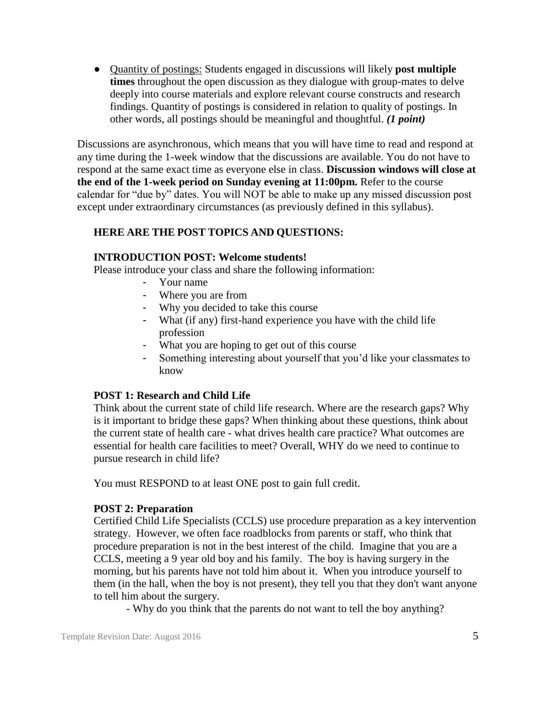● Quantity of postings: Students engaged in discussions will likely **post multiple times** throughout the open discussion as they dialogue with group-mates to delve deeply into course materials and explore relevant course constructs and research findings. Quantity of postings is considered in relation to quality of postings. In other words, all postings should be meaningful and thoughtful. *(1 point)*

Discussions are asynchronous, which means that you will have time to read and respond at any time during the 1-week window that the discussions are available. You do not have to respond at the same exact time as everyone else in class. **Discussion windows will close at the end of the 1-week period on Sunday evening at 11:00pm.** Refer to the course calendar for "due by" dates. You will NOT be able to make up any missed discussion post except under extraordinary circumstances (as previously defined in this syllabus).

### **HERE ARE THE POST TOPICS AND QUESTIONS:**

#### **INTRODUCTION POST: Welcome students!**

Please introduce your class and share the following information:

- Your name
- Where you are from
- Why you decided to take this course
- What (if any) first-hand experience you have with the child life profession
- What you are hoping to get out of this course
- Something interesting about yourself that you'd like your classmates to know

#### **POST 1: Research and Child Life**

Think about the current state of child life research. Where are the research gaps? Why is it important to bridge these gaps? When thinking about these questions, think about the current state of health care - what drives health care practice? What outcomes are essential for health care facilities to meet? Overall, WHY do we need to continue to pursue research in child life?

You must RESPOND to at least ONE post to gain full credit.

#### **POST 2: Preparation**

Certified Child Life Specialists (CCLS) use procedure preparation as a key intervention strategy. However, we often face roadblocks from parents or staff, who think that procedure preparation is not in the best interest of the child. Imagine that you are a CCLS, meeting a 9 year old boy and his family. The boy is having surgery in the morning, but his parents have not told him about it. When you introduce yourself to them (in the hall, when the boy is not present), they tell you that they don't want anyone to tell him about the surgery.

- Why do you think that the parents do not want to tell the boy anything?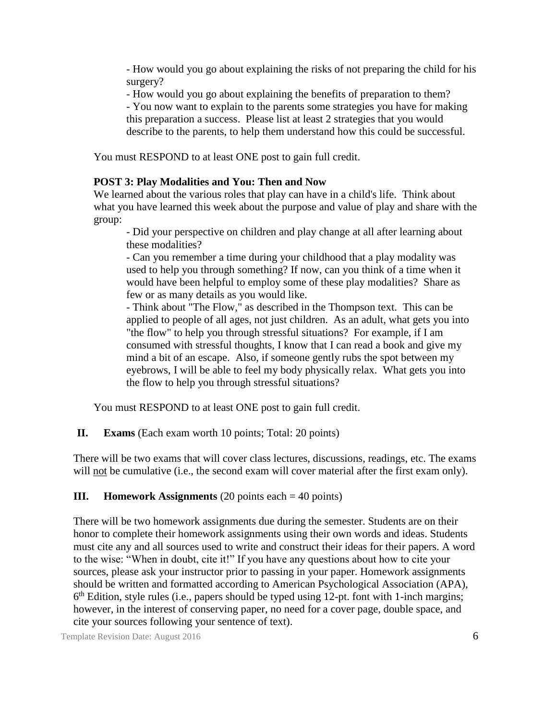- How would you go about explaining the risks of not preparing the child for his surgery?

- How would you go about explaining the benefits of preparation to them?

- You now want to explain to the parents some strategies you have for making this preparation a success. Please list at least 2 strategies that you would describe to the parents, to help them understand how this could be successful.

You must RESPOND to at least ONE post to gain full credit.

#### **POST 3: Play Modalities and You: Then and Now**

We learned about the various roles that play can have in a child's life. Think about what you have learned this week about the purpose and value of play and share with the group:

- Did your perspective on children and play change at all after learning about these modalities?

- Can you remember a time during your childhood that a play modality was used to help you through something? If now, can you think of a time when it would have been helpful to employ some of these play modalities? Share as few or as many details as you would like.

- Think about "The Flow," as described in the Thompson text. This can be applied to people of all ages, not just children. As an adult, what gets you into "the flow" to help you through stressful situations? For example, if I am consumed with stressful thoughts, I know that I can read a book and give my mind a bit of an escape. Also, if someone gently rubs the spot between my eyebrows, I will be able to feel my body physically relax. What gets you into the flow to help you through stressful situations?

You must RESPOND to at least ONE post to gain full credit.

**II. Exams** (Each exam worth 10 points; Total: 20 points)

There will be two exams that will cover class lectures, discussions, readings, etc. The exams will not be cumulative (i.e., the second exam will cover material after the first exam only).

#### **III. Homework Assignments**  $(20 \text{ points each} = 40 \text{ points})$

There will be two homework assignments due during the semester. Students are on their honor to complete their homework assignments using their own words and ideas. Students must cite any and all sources used to write and construct their ideas for their papers. A word to the wise: "When in doubt, cite it!" If you have any questions about how to cite your sources, please ask your instructor prior to passing in your paper. Homework assignments should be written and formatted according to American Psychological Association (APA),  $6<sup>th</sup>$  Edition, style rules (i.e., papers should be typed using 12-pt. font with 1-inch margins; however, in the interest of conserving paper, no need for a cover page, double space, and cite your sources following your sentence of text).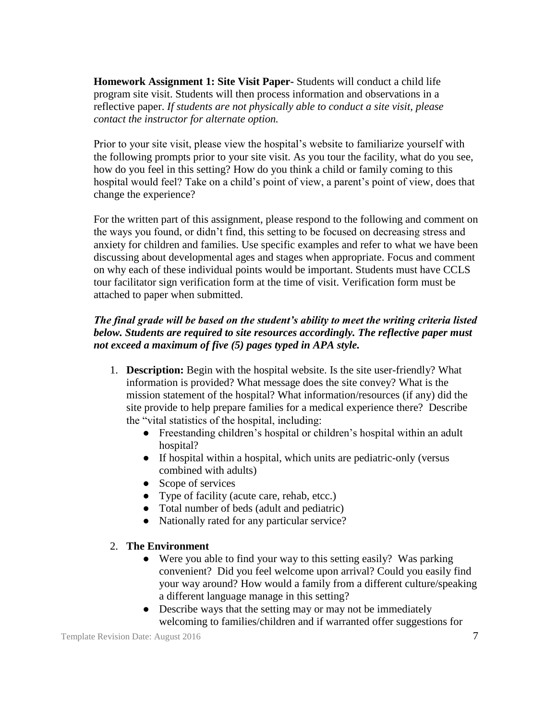**Homework Assignment 1: Site Visit Paper-** Students will conduct a child life program site visit. Students will then process information and observations in a reflective paper. *If students are not physically able to conduct a site visit, please contact the instructor for alternate option.*

Prior to your site visit, please view the hospital's website to familiarize yourself with the following prompts prior to your site visit. As you tour the facility, what do you see, how do you feel in this setting? How do you think a child or family coming to this hospital would feel? Take on a child's point of view, a parent's point of view, does that change the experience?

For the written part of this assignment, please respond to the following and comment on the ways you found, or didn't find, this setting to be focused on decreasing stress and anxiety for children and families. Use specific examples and refer to what we have been discussing about developmental ages and stages when appropriate. Focus and comment on why each of these individual points would be important. Students must have CCLS tour facilitator sign verification form at the time of visit. Verification form must be attached to paper when submitted.

## *The final grade will be based on the student's ability to meet the writing criteria listed below. Students are required to site resources accordingly. The reflective paper must not exceed a maximum of five (5) pages typed in APA style.*

- 1. **Description:** Begin with the hospital website. Is the site user-friendly? What information is provided? What message does the site convey? What is the mission statement of the hospital? What information/resources (if any) did the site provide to help prepare families for a medical experience there? Describe the "vital statistics of the hospital, including:
	- Freestanding children's hospital or children's hospital within an adult hospital?
	- If hospital within a hospital, which units are pediatric-only (versus combined with adults)
	- Scope of services
	- Type of facility (acute care, rehab, etcc.)
	- Total number of beds (adult and pediatric)
	- Nationally rated for any particular service?

#### 2. **The Environment**

- Were you able to find your way to this setting easily? Was parking convenient? Did you feel welcome upon arrival? Could you easily find your way around? How would a family from a different culture/speaking a different language manage in this setting?
- Describe ways that the setting may or may not be immediately welcoming to families/children and if warranted offer suggestions for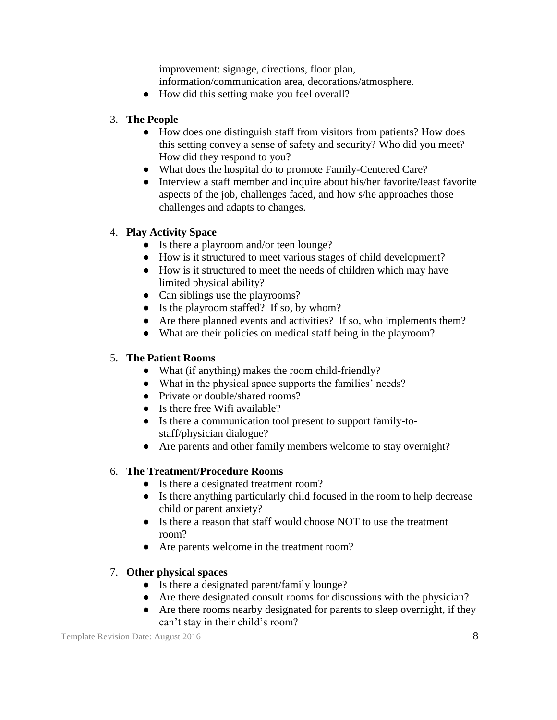improvement: signage, directions, floor plan,

information/communication area, decorations/atmosphere.

• How did this setting make you feel overall?

## 3. **The People**

- How does one distinguish staff from visitors from patients? How does this setting convey a sense of safety and security? Who did you meet? How did they respond to you?
- What does the hospital do to promote Family-Centered Care?
- Interview a staff member and inquire about his/her favorite/least favorite aspects of the job, challenges faced, and how s/he approaches those challenges and adapts to changes.

## 4. **Play Activity Space**

- Is there a playroom and/or teen lounge?
- How is it structured to meet various stages of child development?
- How is it structured to meet the needs of children which may have limited physical ability?
- Can siblings use the playrooms?
- Is the playroom staffed? If so, by whom?
- Are there planned events and activities? If so, who implements them?
- What are their policies on medical staff being in the playroom?

# 5. **The Patient Rooms**

- What (if anything) makes the room child-friendly?
- What in the physical space supports the families' needs?
- Private or double/shared rooms?
- Is there free Wifi available?
- Is there a communication tool present to support family-tostaff/physician dialogue?
- Are parents and other family members welcome to stay overnight?

## 6. **The Treatment/Procedure Rooms**

- Is there a designated treatment room?
- Is there anything particularly child focused in the room to help decrease child or parent anxiety?
- Is there a reason that staff would choose NOT to use the treatment room?
- Are parents welcome in the treatment room?

# 7. **Other physical spaces**

- Is there a designated parent/family lounge?
- Are there designated consult rooms for discussions with the physician?
- Are there rooms nearby designated for parents to sleep overnight, if they can't stay in their child's room?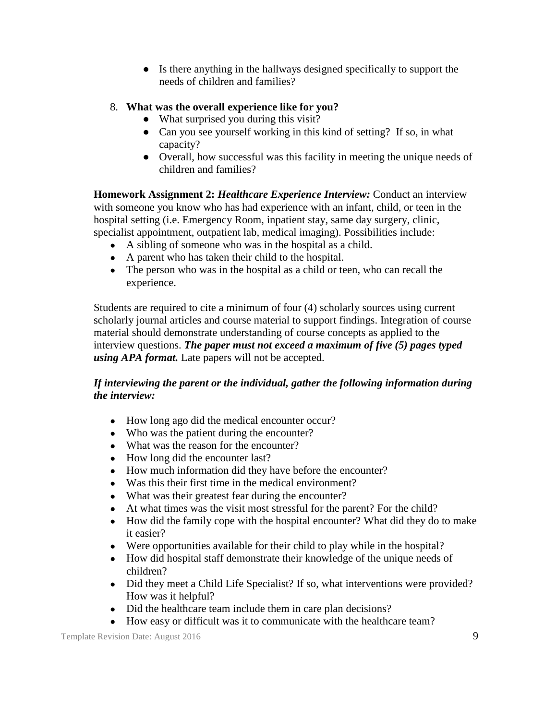- Is there anything in the hallways designed specifically to support the needs of children and families?
- 8. **What was the overall experience like for you?**
	- What surprised you during this visit?
	- Can you see yourself working in this kind of setting? If so, in what capacity?
	- Overall, how successful was this facility in meeting the unique needs of children and families?

**Homework Assignment 2:** *Healthcare Experience Interview:* Conduct an interview with someone you know who has had experience with an infant, child, or teen in the hospital setting (i.e. Emergency Room, inpatient stay, same day surgery, clinic, specialist appointment, outpatient lab, medical imaging). Possibilities include:

- A sibling of someone who was in the hospital as a child.
- A parent who has taken their child to the hospital.
- The person who was in the hospital as a child or teen, who can recall the experience.

Students are required to cite a minimum of four (4) scholarly sources using current scholarly journal articles and course material to support findings. Integration of course material should demonstrate understanding of course concepts as applied to the interview questions. *The paper must not exceed a maximum of five (5) pages typed using APA format.* Late papers will not be accepted.

## *If interviewing the parent or the individual, gather the following information during the interview:*

- How long ago did the medical encounter occur?
- Who was the patient during the encounter?
- What was the reason for the encounter?
- How long did the encounter last?
- How much information did they have before the encounter?
- Was this their first time in the medical environment?
- What was their greatest fear during the encounter?
- At what times was the visit most stressful for the parent? For the child?
- How did the family cope with the hospital encounter? What did they do to make it easier?
- Were opportunities available for their child to play while in the hospital?
- How did hospital staff demonstrate their knowledge of the unique needs of children?
- Did they meet a Child Life Specialist? If so, what interventions were provided? How was it helpful?
- Did the healthcare team include them in care plan decisions?
- How easy or difficult was it to communicate with the healthcare team?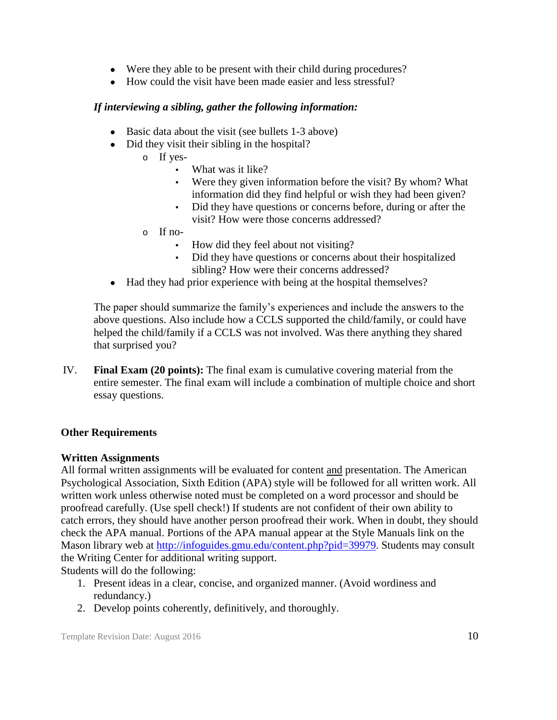- Were they able to be present with their child during procedures?
- How could the visit have been made easier and less stressful?

## *If interviewing a sibling, gather the following information:*

- Basic data about the visit (see bullets 1-3 above)
- Did they visit their sibling in the hospital?
	- o If yes-
		- What was it like?
		- Were they given information before the visit? By whom? What information did they find helpful or wish they had been given?
		- Did they have questions or concerns before, during or after the visit? How were those concerns addressed?
	- o If no-
		- How did they feel about not visiting?
		- Did they have questions or concerns about their hospitalized sibling? How were their concerns addressed?
- Had they had prior experience with being at the hospital themselves?

The paper should summarize the family's experiences and include the answers to the above questions. Also include how a CCLS supported the child/family, or could have helped the child/family if a CCLS was not involved. Was there anything they shared that surprised you?

IV. **Final Exam (20 points):** The final exam is cumulative covering material from the entire semester. The final exam will include a combination of multiple choice and short essay questions.

# **Other Requirements**

## **Written Assignments**

All formal written assignments will be evaluated for content and presentation. The American Psychological Association, Sixth Edition (APA) style will be followed for all written work. All written work unless otherwise noted must be completed on a word processor and should be proofread carefully. (Use spell check!) If students are not confident of their own ability to catch errors, they should have another person proofread their work. When in doubt, they should check the APA manual. Portions of the APA manual appear at the Style Manuals link on the Mason library web at [http://infoguides.gmu.edu/content.php?pid=39979.](http://infoguides.gmu.edu/content.php?pid=39979) Students may consult the Writing Center for additional writing support.

Students will do the following:

- 1. Present ideas in a clear, concise, and organized manner. (Avoid wordiness and redundancy.)
- 2. Develop points coherently, definitively, and thoroughly.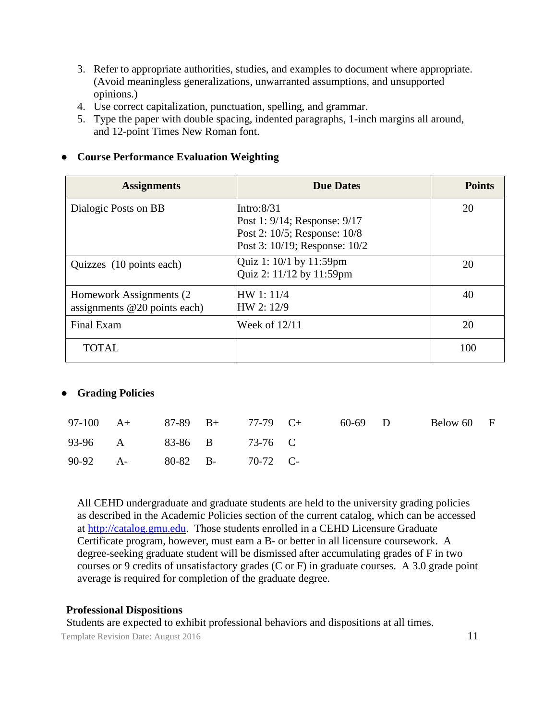- 3. Refer to appropriate authorities, studies, and examples to document where appropriate. (Avoid meaningless generalizations, unwarranted assumptions, and unsupported opinions.)
- 4. Use correct capitalization, punctuation, spelling, and grammar.
- 5. Type the paper with double spacing, indented paragraphs, 1-inch margins all around, and 12-point Times New Roman font.

## ● **Course Performance Evaluation Weighting**

| <b>Assignments</b>                                         | <b>Due Dates</b>                                                                                               | <b>Points</b> |
|------------------------------------------------------------|----------------------------------------------------------------------------------------------------------------|---------------|
| Dialogic Posts on BB                                       | Intro: $8/31$<br>Post 1: 9/14; Response: 9/17<br>Post 2: 10/5; Response: 10/8<br>Post 3: 10/19; Response: 10/2 | 20            |
| Quizzes (10 points each)                                   | Quiz 1: 10/1 by 11:59pm<br>Quiz 2: 11/12 by 11:59pm                                                            | 20            |
| Homework Assignments (2)<br>assignments $@20$ points each) | HW 1: 11/4<br>HW 2: 12/9                                                                                       | 40            |
| Final Exam                                                 | Week of $12/11$                                                                                                | 20            |
| <b>TOTAL</b>                                               |                                                                                                                | 100           |

## ● **Grading Policies**

|                            |  | 97-100 A+ 87-89 B+ 77-79 C+ | 60-69 D | Below 60 F |  |
|----------------------------|--|-----------------------------|---------|------------|--|
| 93-96 A 83-86 B 73-76 C    |  |                             |         |            |  |
| 90-92 A- 80-82 B- 70-72 C- |  |                             |         |            |  |

All CEHD undergraduate and graduate students are held to the university grading policies as described in the Academic Policies section of the current catalog, which can be accessed at [http://catalog.gmu.edu.](http://catalog.gmu.edu/) Those students enrolled in a CEHD Licensure Graduate Certificate program, however, must earn a B- or better in all licensure coursework. A degree-seeking graduate student will be dismissed after accumulating grades of F in two courses or 9 credits of unsatisfactory grades (C or F) in graduate courses. A 3.0 grade point average is required for completion of the graduate degree.

#### **Professional Dispositions**

Students are expected to exhibit professional behaviors and dispositions at all times.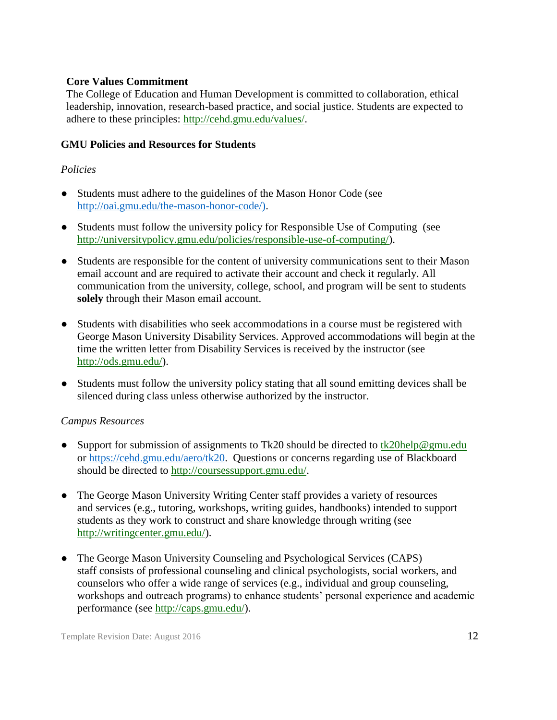### **Core Values Commitment**

The College of Education and Human Development is committed to collaboration, ethical leadership, innovation, research-based practice, and social justice. Students are expected to adhere to these principles: [http://cehd.gmu.edu/values/.](http://cehd.gmu.edu/values/)

### **GMU Policies and Resources for Students**

## *Policies*

- Students must adhere to the guidelines of the Mason Honor Code (see [http://oai.gmu.edu/the-mason-honor-code/\).](http://oai.gmu.edu/the-mason-honor-code/))
- Students must follow the university policy for Responsible Use of Computing (see [http://universitypolicy.gmu.edu/policies/responsible-use-of-computing/\)](http://universitypolicy.gmu.edu/policies/responsible-use-of-computing/).
- Students are responsible for the content of university communications sent to their Mason email account and are required to activate their account and check it regularly. All communication from the university, college, school, and program will be sent to students **solely** through their Mason email account.
- Students with disabilities who seek accommodations in a course must be registered with George Mason University Disability Services. Approved accommodations will begin at the time the written letter from Disability Services is received by the instructor (see [http://ods.gmu.edu/\)](http://ods.gmu.edu/).
- Students must follow the university policy stating that all sound emitting devices shall be silenced during class unless otherwise authorized by the instructor.

## *Campus Resources*

- Support for submission of assignments to Tk20 should be directed to tk20help@gmu.edu or [https://cehd.gmu.edu/aero/tk20.](https://cehd.gmu.edu/aero/tk20) Questions or concerns regarding use of Blackboard should be directed to [http://coursessupport.gmu.edu/.](http://coursessupport.gmu.edu/)
- The George Mason University Writing Center staff provides a variety of resources and services (e.g., tutoring, workshops, writing guides, handbooks) intended to support students as they work to construct and share knowledge through writing (see [http://writingcenter.gmu.edu/\)](http://writingcenter.gmu.edu/).
- The George Mason University Counseling and Psychological Services (CAPS) staff consists of professional counseling and clinical psychologists, social workers, and counselors who offer a wide range of services (e.g., individual and group counseling, workshops and outreach programs) to enhance students' personal experience and academic performance (see [http://caps.gmu.edu/\)](http://caps.gmu.edu/).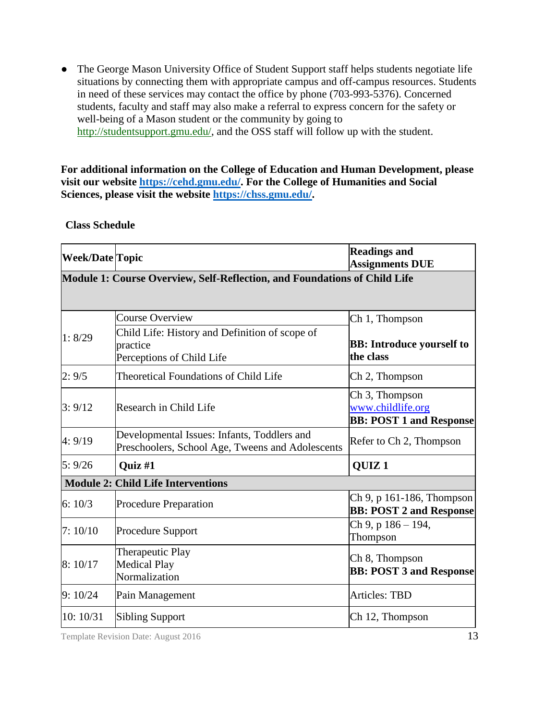• The George Mason University Office of Student Support staff helps students negotiate life situations by connecting them with appropriate campus and off-campus resources. Students in need of these services may contact the office by phone (703-993-5376). Concerned students, faculty and staff may also make a referral to express concern for the safety or well-being of a Mason student or the community by going to [http://studentsupport.gmu.edu/,](http://studentsupport.gmu.edu/) and the OSS staff will follow up with the student.

**For additional information on the College of Education and Human Development, please visit our website [https://cehd.gmu.edu/.](https://cehd.gmu.edu/) For the College of Humanities and Social Sciences, please visit the website [https://chss.gmu.edu/.](https://chss.gmu.edu/)**

#### **Class Schedule**

| <b>Week/Date Topic</b> |                                                                                                                   | <b>Readings and</b><br><b>Assignments DUE</b>                                     |
|------------------------|-------------------------------------------------------------------------------------------------------------------|-----------------------------------------------------------------------------------|
|                        | <b>Module 1: Course Overview, Self-Reflection, and Foundations of Child Life</b>                                  |                                                                                   |
| 1: 8/29                | <b>Course Overview</b><br>Child Life: History and Definition of scope of<br>practice<br>Perceptions of Child Life | Ch 1, Thompson<br><b>BB:</b> Introduce yourself to<br>the class                   |
| 2:9/5                  | Theoretical Foundations of Child Life                                                                             | Ch 2, Thompson                                                                    |
| 3:9/12                 | Research in Child Life                                                                                            | Ch <sub>3</sub> , Thompson<br>www.childlife.org<br><b>BB: POST 1 and Response</b> |
| 4:9/19                 | Developmental Issues: Infants, Toddlers and<br>Preschoolers, School Age, Tweens and Adolescents                   | Refer to Ch 2, Thompson                                                           |
| 5:9/26                 | Quiz #1                                                                                                           | QUIZ <sub>1</sub>                                                                 |
|                        | <b>Module 2: Child Life Interventions</b>                                                                         |                                                                                   |
| 6:10/3                 | <b>Procedure Preparation</b>                                                                                      | Ch 9, p 161-186, Thompson<br><b>BB: POST 2 and Response</b>                       |
| 7:10/10                | <b>Procedure Support</b>                                                                                          | Ch 9, p 186 - 194,<br>Thompson                                                    |
| 8:10/17                | Therapeutic Play<br><b>Medical Play</b><br>Normalization                                                          | Ch 8, Thompson<br><b>BB: POST 3 and Response</b>                                  |
| 9:10/24                | Pain Management                                                                                                   | <b>Articles: TBD</b>                                                              |
| 10: 10/31              | <b>Sibling Support</b>                                                                                            | Ch 12, Thompson                                                                   |